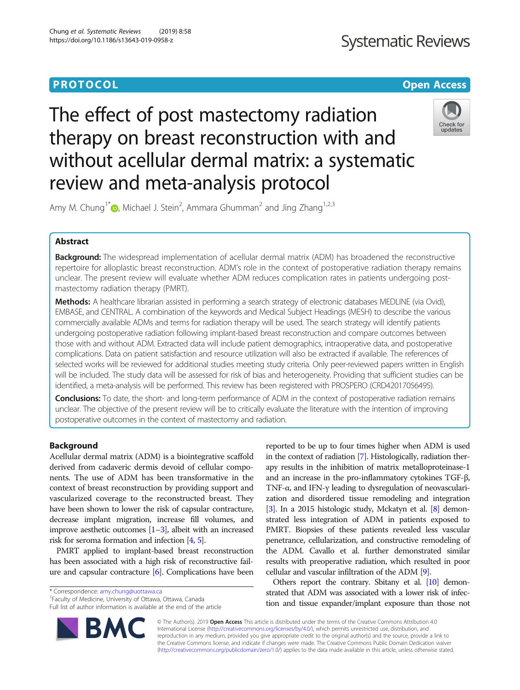# **PROTOCOL CONSUMING THE OPEN ACCESS**

# The effect of post mastectomy radiation therapy on breast reconstruction with and without acellular dermal matrix: a systematic review and meta-analysis protocol



Amy M. Chung<sup>1\*</sup> [,](http://orcid.org/0000-0002-8781-2508) Michael J. Stein<sup>2</sup>, Ammara Ghumman<sup>2</sup> and Jing Zhang<sup>1,2,3</sup>

# Abstract

**Background:** The widespread implementation of acellular dermal matrix (ADM) has broadened the reconstructive repertoire for alloplastic breast reconstruction. ADM's role in the context of postoperative radiation therapy remains unclear. The present review will evaluate whether ADM reduces complication rates in patients undergoing postmastectomy radiation therapy (PMRT).

Methods: A healthcare librarian assisted in performing a search strategy of electronic databases MEDLINE (via Ovid), EMBASE, and CENTRAL. A combination of the keywords and Medical Subject Headings (MESH) to describe the various commercially available ADMs and terms for radiation therapy will be used. The search strategy will identify patients undergoing postoperative radiation following implant-based breast reconstruction and compare outcomes between those with and without ADM. Extracted data will include patient demographics, intraoperative data, and postoperative complications. Data on patient satisfaction and resource utilization will also be extracted if available. The references of selected works will be reviewed for additional studies meeting study criteria. Only peer-reviewed papers written in English will be included. The study data will be assessed for risk of bias and heterogeneity. Providing that sufficient studies can be identified, a meta-analysis will be performed. This review has been registered with PROSPERO (CRD42017056495).

Conclusions: To date, the short- and long-term performance of ADM in the context of postoperative radiation remains unclear. The objective of the present review will be to critically evaluate the literature with the intention of improving postoperative outcomes in the context of mastectomy and radiation.

# Background

Acellular dermal matrix (ADM) is a biointegrative scaffold derived from cadaveric dermis devoid of cellular components. The use of ADM has been transformative in the context of breast reconstruction by providing support and vascularized coverage to the reconstructed breast. They have been shown to lower the risk of capsular contracture, decrease implant migration, increase fill volumes, and improve aesthetic outcomes  $[1-3]$  $[1-3]$  $[1-3]$ , albeit with an increased risk for seroma formation and infection [[4](#page-2-0), [5\]](#page-2-0).

PMRT applied to implant-based breast reconstruction has been associated with a high risk of reconstructive failure and capsular contracture [[6](#page-2-0)]. Complications have been

\* Correspondence: [amy.chung@uottawa.ca](mailto:amy.chung@uottawa.ca) <sup>1</sup>

Faculty of Medicine, University of Ottawa, Ottawa, Canada Full list of author information is available at the end of the article



reported to be up to four times higher when ADM is used in the context of radiation [\[7](#page-2-0)]. Histologically, radiation therapy results in the inhibition of matrix metalloproteinase-1 and an increase in the pro-inflammatory cytokines TGF-β, TNF-α, and IFN-γ leading to dysregulation of neovascularization and disordered tissue remodeling and integration [[3](#page-2-0)]. In a 2015 histologic study, Mckatyn et al. [\[8\]](#page-3-0) demonstrated less integration of ADM in patients exposed to PMRT. Biopsies of these patients revealed less vascular penetrance, cellularization, and constructive remodeling of the ADM. Cavallo et al. further demonstrated similar results with preoperative radiation, which resulted in poor cellular and vascular infiltration of the ADM [\[9](#page-3-0)].

Others report the contrary. Sbitany et al. [\[10](#page-3-0)] demonstrated that ADM was associated with a lower risk of infection and tissue expander/implant exposure than those not

© The Author(s). 2019 Open Access This article is distributed under the terms of the Creative Commons Attribution 4.0 International License [\(http://creativecommons.org/licenses/by/4.0/](http://creativecommons.org/licenses/by/4.0/)), which permits unrestricted use, distribution, and reproduction in any medium, provided you give appropriate credit to the original author(s) and the source, provide a link to the Creative Commons license, and indicate if changes were made. The Creative Commons Public Domain Dedication waiver [\(http://creativecommons.org/publicdomain/zero/1.0/](http://creativecommons.org/publicdomain/zero/1.0/)) applies to the data made available in this article, unless otherwise stated.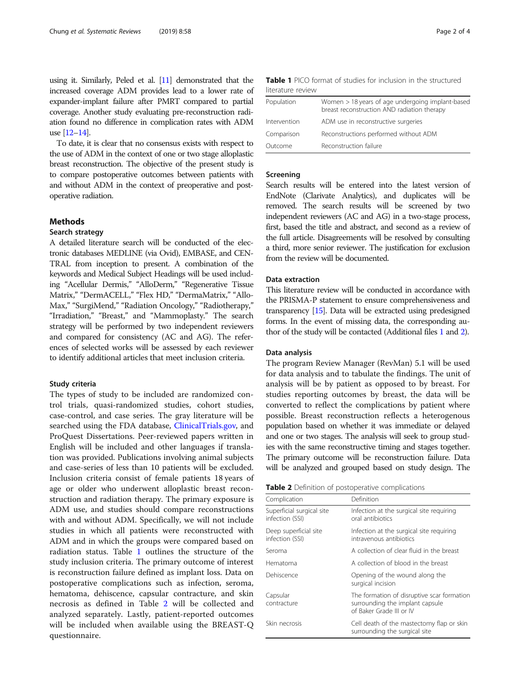using it. Similarly, Peled et al. [\[11](#page-3-0)] demonstrated that the increased coverage ADM provides lead to a lower rate of expander-implant failure after PMRT compared to partial coverage. Another study evaluating pre-reconstruction radiation found no difference in complication rates with ADM use [\[12](#page-3-0)–[14\]](#page-3-0).

To date, it is clear that no consensus exists with respect to the use of ADM in the context of one or two stage alloplastic breast reconstruction. The objective of the present study is to compare postoperative outcomes between patients with and without ADM in the context of preoperative and postoperative radiation.

## **Methods**

## Search strategy

A detailed literature search will be conducted of the electronic databases MEDLINE (via Ovid), EMBASE, and CEN-TRAL from inception to present. A combination of the keywords and Medical Subject Headings will be used including "Acellular Dermis," "AlloDerm," "Regenerative Tissue Matrix," "DermACELL," "Flex HD," "DermaMatrix," "Allo-Max," "SurgiMend," "Radiation Oncology," "Radiotherapy," "Irradiation," "Breast," and "Mammoplasty." The search strategy will be performed by two independent reviewers and compared for consistency (AC and AG). The references of selected works will be assessed by each reviewer to identify additional articles that meet inclusion criteria.

#### Study criteria

The types of study to be included are randomized control trials, quasi-randomized studies, cohort studies, case-control, and case series. The gray literature will be searched using the FDA database, [ClinicalTrials.gov,](http://clinicaltrials.gov) and ProQuest Dissertations. Peer-reviewed papers written in English will be included and other languages if translation was provided. Publications involving animal subjects and case-series of less than 10 patients will be excluded. Inclusion criteria consist of female patients 18 years of age or older who underwent alloplastic breast reconstruction and radiation therapy. The primary exposure is ADM use, and studies should compare reconstructions with and without ADM. Specifically, we will not include studies in which all patients were reconstructed with ADM and in which the groups were compared based on radiation status. Table 1 outlines the structure of the study inclusion criteria. The primary outcome of interest is reconstruction failure defined as implant loss. Data on postoperative complications such as infection, seroma, hematoma, dehiscence, capsular contracture, and skin necrosis as defined in Table 2 will be collected and analyzed separately. Lastly, patient-reported outcomes will be included when available using the BREAST-Q questionnaire.

|                   |  |  | <b>Table 1</b> PICO format of studies for inclusion in the structured |  |  |
|-------------------|--|--|-----------------------------------------------------------------------|--|--|
| literature review |  |  |                                                                       |  |  |

| Population   | Women > 18 years of age undergoing implant-based<br>breast reconstruction AND radiation therapy |
|--------------|-------------------------------------------------------------------------------------------------|
| Intervention | ADM use in reconstructive surgeries                                                             |
| Comparison   | Reconstructions performed without ADM                                                           |
| Outcome      | Reconstruction failure                                                                          |

#### Screening

Search results will be entered into the latest version of EndNote (Clarivate Analytics), and duplicates will be removed. The search results will be screened by two independent reviewers (AC and AG) in a two-stage process, first, based the title and abstract, and second as a review of the full article. Disagreements will be resolved by consulting a third, more senior reviewer. The justification for exclusion from the review will be documented.

## Data extraction

This literature review will be conducted in accordance with the PRISMA-P statement to ensure comprehensiveness and transparency [[15\]](#page-3-0). Data will be extracted using predesigned forms. In the event of missing data, the corresponding author of the study will be contacted (Additional files [1](#page-2-0) and [2\)](#page-2-0).

#### Data analysis

The program Review Manager (RevMan) 5.1 will be used for data analysis and to tabulate the findings. The unit of analysis will be by patient as opposed to by breast. For studies reporting outcomes by breast, the data will be converted to reflect the complications by patient where possible. Breast reconstruction reflects a heterogenous population based on whether it was immediate or delayed and one or two stages. The analysis will seek to group studies with the same reconstructive timing and stages together. The primary outcome will be reconstruction failure. Data will be analyzed and grouped based on study design. The

|  |  | Table 2 Definition of postoperative complications |  |
|--|--|---------------------------------------------------|--|
|--|--|---------------------------------------------------|--|

| Complication                                 | Definition                                                                                                |
|----------------------------------------------|-----------------------------------------------------------------------------------------------------------|
| Superficial surgical site<br>infection (SSI) | Infection at the surgical site requiring<br>oral antibiotics                                              |
| Deep superficial site<br>infection (SSI)     | Infection at the surgical site requiring<br>intravenous antibiotics                                       |
| Seroma                                       | A collection of clear fluid in the breast                                                                 |
| Hematoma                                     | A collection of blood in the breast                                                                       |
| Dehiscence                                   | Opening of the wound along the<br>surgical incision                                                       |
| Capsular<br>contracture                      | The formation of disruptive scar formation<br>surrounding the implant capsule<br>of Baker Grade III or IV |
| Skin necrosis                                | Cell death of the mastectomy flap or skin<br>surrounding the surgical site                                |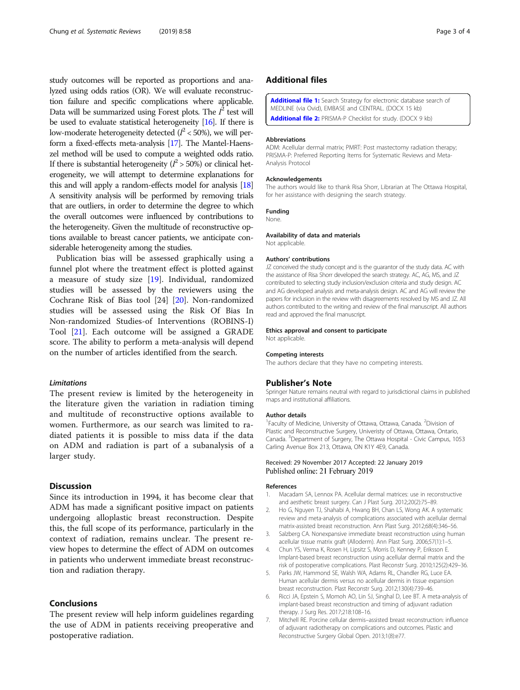<span id="page-2-0"></span>study outcomes will be reported as proportions and analyzed using odds ratios (OR). We will evaluate reconstruction failure and specific complications where applicable. Data will be summarized using Forest plots. The  $I^2$  test will be used to evaluate statistical heterogeneity [\[16](#page-3-0)]. If there is low-moderate heterogeneity detected ( $l^2$  < 50%), we will perform a fixed-effects meta-analysis [\[17](#page-3-0)]. The Mantel-Haenszel method will be used to compute a weighted odds ratio. If there is substantial heterogeneity ( $l^2$  > 50%) or clinical heterogeneity, we will attempt to determine explanations for this and will apply a random-effects model for analysis [\[18](#page-3-0)] A sensitivity analysis will be performed by removing trials that are outliers, in order to determine the degree to which the overall outcomes were influenced by contributions to the heterogeneity. Given the multitude of reconstructive options available to breast cancer patients, we anticipate considerable heterogeneity among the studies.

Publication bias will be assessed graphically using a funnel plot where the treatment effect is plotted against a measure of study size [\[19](#page-3-0)]. Individual, randomized studies will be assessed by the reviewers using the Cochrane Risk of Bias tool [24] [[20\]](#page-3-0). Non-randomized studies will be assessed using the Risk Of Bias In Non-randomized Studies-of Interventions (ROBINS-I) Tool [[21\]](#page-3-0). Each outcome will be assigned a GRADE score. The ability to perform a meta-analysis will depend on the number of articles identified from the search.

#### Limitations

The present review is limited by the heterogeneity in the literature given the variation in radiation timing and multitude of reconstructive options available to women. Furthermore, as our search was limited to radiated patients it is possible to miss data if the data on ADM and radiation is part of a subanalysis of a larger study.

# **Discussion**

Since its introduction in 1994, it has become clear that ADM has made a significant positive impact on patients undergoing alloplastic breast reconstruction. Despite this, the full scope of its performance, particularly in the context of radiation, remains unclear. The present review hopes to determine the effect of ADM on outcomes in patients who underwent immediate breast reconstruction and radiation therapy.

#### Conclusions

The present review will help inform guidelines regarding the use of ADM in patients receiving preoperative and postoperative radiation.

### Additional files

[Additional file 1:](https://doi.org/10.1186/s13643-019-0958-z) Search Strategy for electronic database search of MEDLINE (via Ovid), EMBASE and CENTRAL. (DOCX 15 kb) [Additional file 2:](https://doi.org/10.1186/s13643-019-0958-z) PRISMA-P Checklist for study. (DOCX 9 kb)

#### Abbreviations

ADM: Acellular dermal matrix; PMRT: Post mastectomy radiation therapy; PRISMA-P: Preferred Reporting Items for Systematic Reviews and Meta-Analysis Protocol

#### Acknowledgements

The authors would like to thank Risa Shorr, Librarian at The Ottawa Hospital, for her assistance with designing the search strategy.

#### Funding

None.

#### Availability of data and materials

Not applicable.

#### Authors' contributions

JZ conceived the study concept and is the guarantor of the study data. AC with the assistance of Risa Shorr developed the search strategy. AC, AG, MS, and JZ contributed to selecting study inclusion/exclusion criteria and study design. AC and AG developed analysis and meta-analysis design. AC and AG will review the papers for inclusion in the review with disagreements resolved by MS and JZ. All authors contributed to the writing and review of the final manuscript. All authors read and approved the final manuscript.

#### Ethics approval and consent to participate

Not applicable.

#### Competing interests

The authors declare that they have no competing interests.

#### Publisher's Note

Springer Nature remains neutral with regard to jurisdictional claims in published maps and institutional affiliations.

#### Author details

<sup>1</sup> Faculty of Medicine, University of Ottawa, Ottawa, Canada. <sup>2</sup> Division of Plastic and Reconstructive Surgery, Univeristy of Ottawa, Ottawa, Ontario, Canada. <sup>3</sup>Department of Surgery, The Ottawa Hospital - Civic Campus, 1053 Carling Avenue Box 213, Ottawa, ON K1Y 4E9, Canada.

#### Received: 29 November 2017 Accepted: 22 January 2019 Published online: 21 February 2019

#### References

- 1. Macadam SA, Lennox PA. Acellular dermal matrices: use in reconstructive and aesthetic breast surgery. Can J Plast Surg. 2012;20(2):75–89.
- 2. Ho G, Nguyen TJ, Shahabi A, Hwang BH, Chan LS, Wong AK. A systematic review and meta-analysis of complications associated with acellular dermal matrix-assisted breast reconstruction. Ann Plast Surg. 2012;68(4):346–56.
- 3. Salzberg CA. Nonexpansive immediate breast reconstruction using human acellular tissue matrix graft (Alloderm). Ann Plast Surg. 2006;57(1):1–5.
- 4. Chun YS, Verma K, Rosen H, Lipsitz S, Morris D, Kenney P, Eriksson E. Implant-based breast reconstruction using acellular dermal matrix and the risk of postoperative complications. Plast Reconstr Surg. 2010;125(2):429–36.
- 5. Parks JW, Hammond SE, Walsh WA, Adams RL, Chandler RG, Luce EA. Human acellular dermis versus no acellular dermis in tissue expansion breast reconstruction. Plast Reconstr Surg. 2012;130(4):739–46.
- 6. Ricci JA, Epstein S, Momoh AO, Lin SJ, Singhal D, Lee BT. A meta-analysis of implant-based breast reconstruction and timing of adjuvant radiation therapy. J Surg Res. 2017;218:108–16.
- 7. Mitchell RE. Porcine cellular dermis–assisted breast reconstruction: influence of adjuvant radiotherapy on complications and outcomes. Plastic and Reconstructive Surgery Global Open. 2013;1(8):e77.